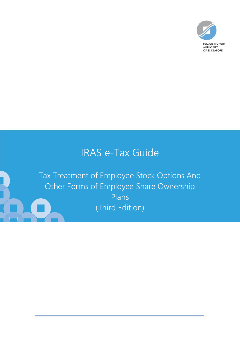

# IRAS e-Tax Guide

Tax Treatment of Employee Stock Options And Other Forms of Employee Share Ownership Plans (Third Edition)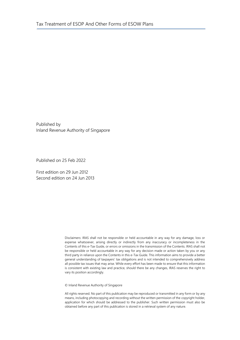Published by Inland Revenue Authority of Singapore

Published on 25 Feb 2022

First edition on 29 Jun 2012 Second edition on 24 Jun 2013

> Disclaimers: IRAS shall not be responsible or held accountable in any way for any damage, loss or expense whatsoever, arising directly or indirectly from any inaccuracy or incompleteness in the Contents of this e-Tax Guide, or errors or omissions in the transmission of the Contents. IRAS shall not be responsible or held accountable in any way for any decision made or action taken by you or any third party in reliance upon the Contents in this e-Tax Guide. This information aims to provide a better general understanding of taxpayers' tax obligations and is not intended to comprehensively address all possible tax issues that may arise. While every effort has been made to ensure that this information is consistent with existing law and practice, should there be any changes, IRAS reserves the right to vary its position accordingly.

© Inland Revenue Authority of Singapore

All rights reserved. No part of this publication may be reproduced or transmitted in any form or by any means, including photocopying and recording without the written permission of the copyright holder, application for which should be addressed to the publisher. Such written permission must also be obtained before any part of this publication is stored in a retrieval system of any nature.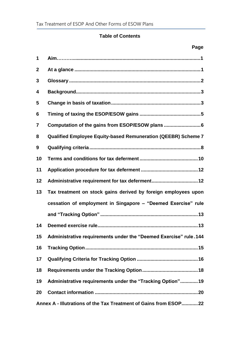# **Table of Contents**

|                  | Page                                                                 |
|------------------|----------------------------------------------------------------------|
| 1                |                                                                      |
| $\boldsymbol{2}$ |                                                                      |
| 3                |                                                                      |
| 4                |                                                                      |
| 5                |                                                                      |
| 6                |                                                                      |
| 7                |                                                                      |
| 8                | <b>Qualified Employee Equity-based Remuneration (QEEBR) Scheme 7</b> |
| 9                |                                                                      |
| 10               |                                                                      |
| 11               |                                                                      |
| 12               | Administrative requirement for tax deferment12                       |
| 13               | Tax treatment on stock gains derived by foreign employees upon       |
|                  | cessation of employment in Singapore - "Deemed Exercise" rule        |
|                  |                                                                      |
|                  | 14 Deemed exercise rule<br>13                                        |
| 15               | Administrative requirements under the "Deemed Exercise" rule.144     |
| 16               |                                                                      |
| 17               |                                                                      |
| 18               |                                                                      |
| 19               | Administrative requirements under the "Tracking Option"19            |
| 20               |                                                                      |
|                  | Annex A - Illutrations of the Tax Treatment of Gains from ESOP22     |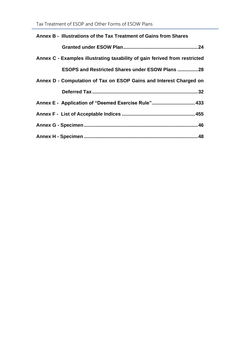| Annex B - Illustrations of the Tax Treatment of Gains from Shares          |
|----------------------------------------------------------------------------|
|                                                                            |
| Annex C - Examples illustrating taxability of gain ferived from restricted |
| <b>ESOPS and Restricted Shares under ESOW Plans  28</b>                    |
| Annex D - Computation of Tax on ESOP Gains and Interest Charged on         |
|                                                                            |
| Annex E - Application of "Deemed Exercise Rule" 433                        |
|                                                                            |
|                                                                            |
|                                                                            |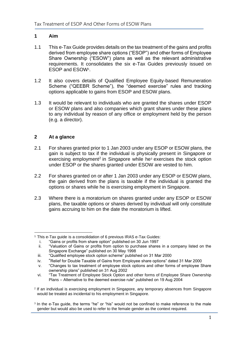# <span id="page-4-0"></span>**1 Aim**

- 1.1 This e-Tax Guide provides details on the tax treatment of the gains and profits derived from employee share options ("ESOP") and other forms of Employee Share Ownership ("ESOW") plans as well as the relevant administrative requirements. It consolidates the six e-Tax Guides previously issued on ESOP and ESOW<sup>1</sup> .
- 1.2 It also covers details of Qualified Employee Equity-based Remuneration Scheme ("QEEBR Scheme"), the "deemed exercise" rules and tracking options applicable to gains from ESOP and ESOW plans.
- 1.3 It would be relevant to individuals who are granted the shares under ESOP or ESOW plans and also companies which grant shares under these plans to any individual by reason of any office or employment held by the person (e.g. a director).

# <span id="page-4-1"></span>**2 At a glance**

- 2.1 For shares granted prior to 1 Jan 2003 under any ESOP or ESOW plans, the gain is subject to tax if the individual is physically present in Singapore or exercising employment<sup>2</sup> in Singapore while he<sup>3</sup> exercises the stock option under ESOP or the shares granted under ESOW are vested to him.
- 2.2 For shares granted on or after 1 Jan 2003 under any ESOP or ESOW plans, the gain derived from the plans is taxable if the individual is granted the options or shares while he is exercising employment in Singapore.
- 2.3 Where there is a moratorium on shares granted under any ESOP or ESOW plans, the taxable options or shares derived by individual will only constitute gains accruing to him on the date the moratorium is lifted.

<sup>1</sup> This e-Tax guide is a consolidation of 6 previous IRAS e-Tax Guides:

i. "Gains or profits from share option" published on 30 Jun 1997

ii. "Valuation of Gains or profits from option to purchase shares in a company listed on the Singapore Exchange" published on 30 May 1998

iii. "Qualified employee stock option scheme" published on 31 Mar 2000

iv. "Relief for Double Taxable of Gains from Employee share options" dated 31 Mar 2000

v. "Changes to tax treatment of employee stock options and other forms of employee Share ownership plans" published on 31 Aug 2002

vi. "Tax Treatment of Employee Stock Option and other forms of Employee Share Ownership Plans – Alternative to the deemed exercise rule" published on 19 Aug 2004

<sup>2</sup> If an individual is exercising employment in Singapore, any temporary absences from Singapore would be treated as incidental to his employment in Singapore.

<sup>3</sup> In the e-Tax guide, the terms "he" or "his" would not be confined to make reference to the male gender but would also be used to refer to the female gender as the context required.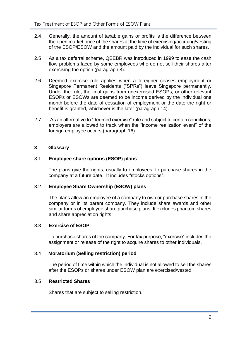- 2.4 Generally, the amount of taxable gains or profits is the difference between the open market price of the shares at the time of exercising/accruing/vesting of the ESOP/ESOW and the amount paid by the individual for such shares.
- 2.5 As a tax deferral scheme, QEEBR was introduced in 1999 to ease the cash flow problems faced by some employees who do not sell their shares after exercising the option (paragraph 8).
- 2.6 [Deemed exercise rule](http://www.iras.gov.sg/irasHome/page04.aspx?id=8896#Unexercised_stock_options) applies when a foreigner ceases employment or Singapore Permanent Residents ("SPRs") leave Singapore permanently. Under the rule, the final gains from unexercised ESOPs, or other relevant ESOPs or ESOWs are deemed to be income derived by the individual one month before the date of cessation of employment or the date the right or benefit is granted, whichever is the later (paragraph 14).
- 2.7 As an alternative to "deemed exercise" rule and subject to certain conditions, employers are allowed to track when the "income realization event" of the foreign employee occurs (paragraph 16).

# <span id="page-5-0"></span>**3 Glossary**

#### 3.1 **Employee share options (ESOP) plans**

The plans give the rights, usually to employees, to purchase shares in the company at a future date. It includes "stocks options".

#### 3.2 **Employee Share Ownership (ESOW) plans**

The plans allow an employee of a company to own or purchase shares in the company or in its parent company. They include share awards and other similar forms of employee share purchase plans. It excludes phantom shares and share appreciation rights.

#### 3.3 **Exercise of ESOP**

To purchase shares of the company. For tax purpose, "exercise" includes the assignment or release of the right to acquire shares to other individuals.

#### 3.4 **Moratorium (Selling restriction) period**

The period of time within which the individual is not allowed to sell the shares after the ESOPs or shares under ESOW plan are exercised/vested.

#### 3.5 **Restricted Shares**

Shares that are subject to selling restriction.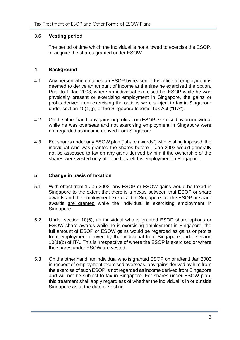#### 3.6 **Vesting period**

The period of time which the individual is not allowed to exercise the ESOP, or acquire the shares granted under ESOW.

# <span id="page-6-0"></span>**4 Background**

- 4.1 Any person who obtained an ESOP by reason of his office or employment is deemed to derive an amount of income at the time he exercised the option. Prior to 1 Jan 2003, where an individual exercised his ESOP while he was physically present or exercising employment in Singapore, the gains or profits derived from exercising the options were subject to tax in Singapore under section 10(1)(g) of the Singapore Income Tax Act ("ITA").
- 4.2 On the other hand, any gains or profits from ESOP exercised by an individual while he was overseas and not exercising employment in Singapore were not regarded as income derived from Singapore.
- 4.3 For shares under any ESOW plan ("share awards") with vesting imposed, the individual who was granted the shares before 1 Jan 2003 would generally not be assessed to tax on any gains derived by him if the ownership of the shares were vested only after he has left his employment in Singapore.

#### <span id="page-6-1"></span>**5 Change in basis of taxation**

- 5.1 With effect from 1 Jan 2003, any ESOP or ESOW gains would be taxed in Singapore to the extent that there is a nexus between that ESOP or share awards and the employment exercised in Singapore i.e. the ESOP or share awards are granted while the individual is exercising employment in Singapore.
- 5.2 Under section 10(6), an individual who is granted ESOP share options or ESOW share awards while he is exercising employment in Singapore, the full amount of ESOP or ESOW gains would be regarded as gains or profits from employment derived by that individual from Singapore under section 10(1)(b) of ITA. This is irrespective of where the ESOP is exercised or where the shares under ESOW are vested.
- 5.3 On the other hand, an individual who is granted ESOP on or after 1 Jan 2003 in respect of employment exercised overseas, any gains derived by him from the exercise of such ESOP is not regarded as income derived from Singapore and will not be subject to tax in Singapore. For shares under ESOW plan, this treatment shall apply regardless of whether the individual is in or outside Singapore as at the date of vesting.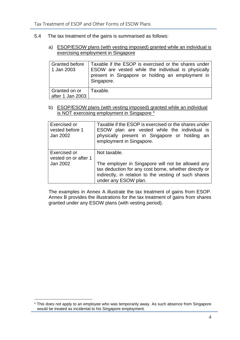#### 5.4 The tax treatment of the gains is summarised as follows:

a) ESOP/ESOW plans (with vesting imposed) granted while an individual is exercising employment in Singapore

| <b>Granted before</b><br>1 Jan 2003 | Taxable if the ESOP is exercised or the shares under<br>ESOW are vested while the individual is physically<br>present in Singapore or holding an employment in<br>Singapore. |
|-------------------------------------|------------------------------------------------------------------------------------------------------------------------------------------------------------------------------|
| Granted on or<br>  after 1 Jan 2003 | Taxable.                                                                                                                                                                     |

b) ESOP/ESOW plans (with vesting imposed) granted while an individual is NOT exercising employment in Singapore<sup>4</sup>

| Exercised or<br>vested before 1<br>Jan 2002      | Taxable if the ESOP is exercised or the shares under<br>ESOW plan are vested while the individual is<br>physically present in Singapore or holding an<br>employment in Singapore.                           |
|--------------------------------------------------|-------------------------------------------------------------------------------------------------------------------------------------------------------------------------------------------------------------|
| Exercised or<br>vested on or after 1<br>Jan 2002 | Not taxable.<br>The employer in Singapore will not be allowed any<br>tax deduction for any cost borne, whether directly or<br>indirectly, in relation to the vesting of such shares<br>under any ESOW plan. |

The examples in Annex A illustrate the tax treatment of gains from ESOP. Annex B provides the illustrations for the tax treatment of gains from shares granted under any ESOW plans (with vesting period).

<sup>4</sup> This does not apply to an employee who was temporarily away. As such absence from Singapore would be treated as incidental to his Singapore employment.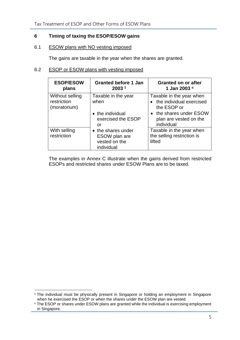# **6 Timing of taxing the ESOP/ESOW gains**

# 6.1 ESOW plans with NO vesting imposed

The gains are taxable in the year when the shares are granted.

# 6.2 ESOP or ESOW plans with vesting imposed

| <b>ESOP/ESOW</b><br>plans                      | <b>Granted before 1 Jan</b><br>2003 5                              | <b>Granted on or after</b><br>1 Jan 2003 6                            |
|------------------------------------------------|--------------------------------------------------------------------|-----------------------------------------------------------------------|
| Without selling<br>restriction<br>(moratorium) | Taxable in the year<br>when                                        | Taxable in the year when<br>• the individual exercised<br>the ESOP or |
|                                                | • the individual<br>exercised the ESOP<br>or                       | • the shares under ESOW<br>plan are vested on the<br>individual       |
| With selling<br>restriction                    | • the shares under<br>ESOW plan are<br>vested on the<br>individual | Taxable in the year when<br>the selling restriction is<br>lifted      |

The examples in Annex C illustrate when the gains derived from restricted ESOPs and restricted shares under ESOW Plans are to be taxed.

<sup>&</sup>lt;sup>5</sup> The individual must be physically present in Singapore or holding an employment in Singapore when he exercised the ESOP or when the shares under the ESOW plan are vested.

<sup>6</sup> The ESOP or shares under ESOW plans are granted while the individual is exercising employment in Singapore.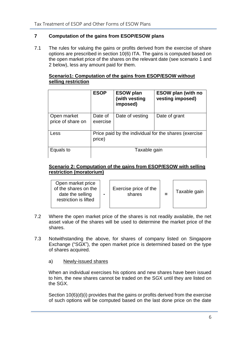# <span id="page-9-0"></span>**7 Computation of the gains from ESOP/ESOW plans**

7.1 The rules for valuing the gains or profits derived from the exercise of share options are prescribed in section 10(6) ITA. The gains is computed based on the open market price of the shares on the relevant date (see scenario 1 and 2 below), less any amount paid for them.

# **Scenario1: Computation of the gains from ESOP/ESOW without selling restriction**

|                                  | <b>ESOP</b>                                                     | <b>ESOW plan</b><br>(with vesting<br>imposed) | <b>ESOW plan (with no</b><br>vesting imposed) |
|----------------------------------|-----------------------------------------------------------------|-----------------------------------------------|-----------------------------------------------|
| Open market<br>price of share on | Date of<br>exercise                                             | Date of vesting                               | Date of grant                                 |
| Less                             | Price paid by the individual for the shares (exercise<br>price) |                                               |                                               |
| Equals to                        | Taxable gain                                                    |                                               |                                               |

# **Scenario 2: Computation of the gains from ESOP/ESOW with selling restriction (moratorium)**

| Open market price<br>of the shares on the<br>date the selling<br>restriction is lifted | $\blacksquare$ | Exercise price of the<br>shares |  | Taxable gain |
|----------------------------------------------------------------------------------------|----------------|---------------------------------|--|--------------|
|----------------------------------------------------------------------------------------|----------------|---------------------------------|--|--------------|

- 7.2 Where the open market price of the shares is not readily available, the net asset value of the shares will be used to determine the market price of the shares.
- 7.3 Notwithstanding the above, for shares of company listed on Singapore Exchange ("SGX"), the open market price is determined based on the type of shares acquired.
	- a) Newly-issued shares

When an individual exercises his options and new shares have been issued to him, the new shares cannot be traded on the SGX until they are listed on the SGX.

Section 10(6)(d)(i) provides that the gains or profits derived from the exercise of such options will be computed based on the last done price on the date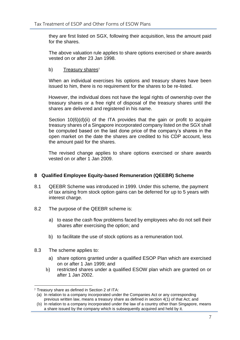they are first listed on SGX, following their acquisition, less the amount paid for the shares.

The above valuation rule applies to share options exercised or share awards vested on or after 23 Jan 1998.

# b) Treasury shares<sup>7</sup>

When an individual exercises his options and treasury shares have been issued to him, there is no requirement for the shares to be re-listed.

However, the individual does not have the legal rights of ownership over the treasury shares or a free right of disposal of the treasury shares until the shares are delivered and registered in his name.

Section  $10(6)(d)(ii)$  of the ITA provides that the gain or profit to acquire treasury shares of a Singapore incorporated company listed on the SGX shall be computed based on the last done price of the company's shares in the open market on the date the shares are credited to his CDP account, less the amount paid for the shares.

The revised change applies to share options exercised or share awards vested on or after 1 Jan 2009.

# <span id="page-10-0"></span>**8 Qualified Employee Equity-based Remuneration (QEEBR) Scheme**

- 8.1 QEEBR Scheme was introduced in 1999. Under this scheme, the payment of tax arising from stock option gains can be deferred for up to 5 years with interest charge.
- 8.2 The purpose of the QEEBR scheme is:
	- a) to ease the cash flow problems faced by employees who do not sell their shares after exercising the option; and
	- b) to facilitate the use of stock options as a remuneration tool.
- 8.3 The scheme applies to:
	- a) share options granted under a qualified ESOP Plan which are exercised on or after 1 Jan 1999; and
	- b) restricted shares under a qualified ESOW plan which are granted on or after 1 Jan 2002.

<sup>7</sup> Treasury share as defined in Section 2 of ITA:

<sup>(</sup>a) In relation to a company incorporated under the Companies Act or any corresponding previous written law, means a treasury share as defined in section 4(1) of that Act; and

<sup>(</sup>b) In relation to a company incorporated under the law of a country other than Singapore, means a share issued by the company which is subsequently acquired and held by it.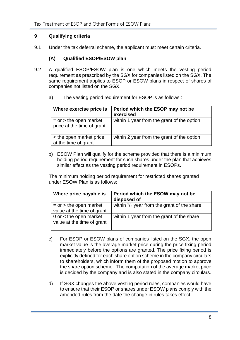# <span id="page-11-0"></span>**9 Qualifying criteria**

9.1 Under the tax deferral scheme, the applicant must meet certain criteria.

# **(A) Qualified ESOP/ESOW plan**

- 9.2 A qualified ESOP/ESOW plan is one which meets the vesting period requirement as prescribed by the SGX for companies listed on the SGX. The same requirement applies to ESOP or ESOW plans in respect of shares of companies not listed on the SGX.
	- a) The vesting period requirement for ESOP is as follows :

| Where exercise price is                                  | Period which the ESOP may not be<br>exercised |
|----------------------------------------------------------|-----------------------------------------------|
| $=$ or $>$ the open market<br>price at the time of grant | within 1 year from the grant of the option    |
| < the open market price<br>at the time of grant          | within 2 year from the grant of the option    |

b) ESOW Plan will qualify for the scheme provided that there is a minimum holding period requirement for such shares under the plan that achieves similar effect as the vesting period requirement in ESOPs.

The minimum holding period requirement for restricted shares granted under ESOW Plan is as follows:

| Where price payable is                                   | Period which the ESOW may not be<br>disposed of       |
|----------------------------------------------------------|-------------------------------------------------------|
| $=$ or $>$ the open market<br>value at the time of grant | within $\frac{1}{2}$ year from the grant of the share |
| 0 or $<$ the open market<br>value at the time of grant   | within 1 year from the grant of the share             |

- c) For ESOP or ESOW plans of companies listed on the SGX, the open market value is the average market price during the price fixing period immediately before the options are granted. The price fixing period is explicitly defined for each share option scheme in the company circulars to shareholders, which inform them of the proposed motion to approve the share option scheme. The computation of the average market price is decided by the company and is also stated in the company circulars.
- d) If SGX changes the above vesting period rules, companies would have to ensure that their ESOP or shares under ESOW plans comply with the amended rules from the date the change in rules takes effect.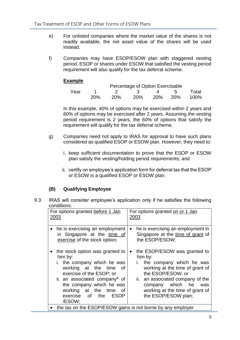- e) For unlisted companies where the market value of the shares is not readily available, the net asset value of the shares will be used instead.
- f) Companies may have ESOP/ESOW plan with staggered vesting period. ESOP or shares under ESOW that satisfied the vesting period requirement will also qualify for the tax deferral scheme.

#### **Example**

|      |     |            | Percentage of Option Exercisable |     |     |       |
|------|-----|------------|----------------------------------|-----|-----|-------|
| Year |     |            |                                  |     |     | Total |
|      | 20% | <b>20%</b> | 20 <sub>%</sub>                  | 20% | 20% | 100%  |

In this example, 40% of options may be exercised within 2 years and 60% of options may be exercised after 2 years. Assuming the vesting period requirement is 2 years, the 60% of options that satisfy the requirement will qualify for the tax deferral scheme.

- g) Companies need not apply to IRAS for approval to have such plans considered as qualified ESOP or ESOW plan. However, they need to:
	- i. keep sufficient documentation to prove that the ESOP or ESOW plan satisfy the vesting/holding period requirements; and
	- ii. certify on employee's application form for deferral tax that the ESOP or ESOW is a qualified ESOP or ESOW plan.

# **(B) Qualifying Employee**

9.3 IRAS will consider employee's application only if he satisfies the following conditions:

| For options granted before 1 Jan                                                                                                                                                                                                                                                        | For options granted on or 1 Jan                                                                                                                                                                                                                                   |  |  |
|-----------------------------------------------------------------------------------------------------------------------------------------------------------------------------------------------------------------------------------------------------------------------------------------|-------------------------------------------------------------------------------------------------------------------------------------------------------------------------------------------------------------------------------------------------------------------|--|--|
| 2003                                                                                                                                                                                                                                                                                    | 2003                                                                                                                                                                                                                                                              |  |  |
| he is exercising an employment                                                                                                                                                                                                                                                          | he is exercising an employment in                                                                                                                                                                                                                                 |  |  |
| $\bullet$                                                                                                                                                                                                                                                                               | $\bullet$                                                                                                                                                                                                                                                         |  |  |
| in Singapore at the time of                                                                                                                                                                                                                                                             | Singapore at the time of grant of                                                                                                                                                                                                                                 |  |  |
| exercise of the stock option;                                                                                                                                                                                                                                                           | the ESOP/ESOW;                                                                                                                                                                                                                                                    |  |  |
| the stock option was granted to<br>him by:<br>i. the company which he was<br>working at the time<br>of<br>exercise of the ESOP; or<br>ii. an associated company <sup>8</sup> of<br>the company which he was<br>at the time<br>working<br>0f<br>exercise of the<br><b>ESOP</b><br>/ESOW; | the ESOP/ESOW was granted to<br>$\bullet$<br>him by:<br>the company which he was<br>working at the time of grant of<br>the ESOP/ESOW; or<br>ii. an associated company of the<br>company which he<br>was<br>working at the time of grant of<br>the ESOP/ESOW plan; |  |  |
| the tax on the ESOP/ESOW gains is not borne by any employer                                                                                                                                                                                                                             |                                                                                                                                                                                                                                                                   |  |  |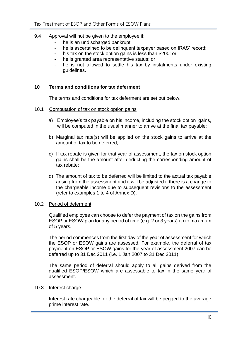- 9.4 Approval will not be given to the employee if:
	- he is an undischarged bankrupt:
	- he is ascertained to be delinquent taxpayer based on IRAS' record;
	- his tax on the stock option gains is less than \$200; or
	- he is granted area representative status; or
	- he is not allowed to settle his tax by instalments under existing guidelines.

# <span id="page-13-0"></span>**10 Terms and conditions for tax deferment**

The terms and conditions for tax deferment are set out below.

- 10.1 Computation of tax on stock option gains
	- a) Employee's tax payable on his income, including the stock option gains, will be computed in the usual manner to arrive at the final tax payable;
	- b) Marginal tax rate(s) will be applied on the stock gains to arrive at the amount of tax to be deferred;
	- c) If tax rebate is given for that year of assessment, the tax on stock option gains shall be the amount after deducting the corresponding amount of tax rebate;
	- d) The amount of tax to be deferred will be limited to the actual tax payable arising from the assessment and it will be adjusted if there is a change to the chargeable income due to subsequent revisions to the assessment (refer to examples 1 to 4 of Annex D).

#### 10.2 Period of deferment

Qualified employee can choose to defer the payment of tax on the gains from ESOP or ESOW plan for any period of time (e.g. 2 or 3 years) up to maximum of 5 years.

The period commences from the first day of the year of assessment for which the ESOP or ESOW gains are assessed. For example, the deferral of tax payment on ESOP or ESOW gains for the year of assessment 2007 can be deferred up to 31 Dec 2011 (i.e. 1 Jan 2007 to 31 Dec 2011).

The same period of deferral should apply to all gains derived from the qualified ESOP/ESOW which are assessable to tax in the same year of assessment.

#### 10.3 Interest charge

Interest rate chargeable for the deferral of tax will be pegged to the average prime interest rate.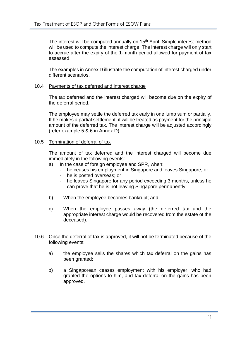The interest will be computed annually on 15<sup>th</sup> April. Simple interest method will be used to compute the interest charge. The interest charge will only start to accrue after the expiry of the 1-month period allowed for payment of tax assessed.

The examples in Annex D illustrate the computation of interest charged under different scenarios.

#### 10.4 Payments of tax deferred and interest charge

The tax deferred and the interest charged will become due on the expiry of the deferral period.

The employee may settle the deferred tax early in one lump sum or partially. If he makes a partial settlement, it will be treated as payment for the principal amount of the deferred tax. The interest charge will be adjusted accordingly (refer example 5 & 6 in Annex D).

#### 10.5 Termination of deferral of tax

The amount of tax deferred and the interest charged will become due immediately in the following events:

- a) In the case of foreign employee and SPR, when:
	- he ceases his employment in Singapore and leaves Singapore; or
	- he is posted overseas; or
	- he leaves Singapore for any period exceeding 3 months, unless he can prove that he is not leaving Singapore permanently.
- b) When the employee becomes bankrupt; and
- c) When the employee passes away (the deferred tax and the appropriate interest charge would be recovered from the estate of the deceased).
- 10.6 Once the deferral of tax is approved, it will not be terminated because of the following events:
	- a) the employee sells the shares which tax deferral on the gains has been granted;
	- b) a Singaporean ceases employment with his employer, who had granted the options to him, and tax deferral on the gains has been approved.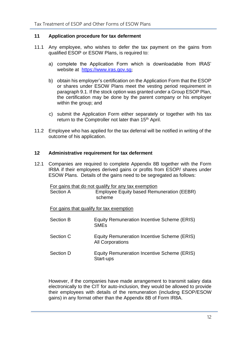# <span id="page-15-0"></span>**11 Application procedure for tax deferment**

- 11.1 Any employee, who wishes to defer the tax payment on the gains from qualified ESOP or ESOW Plans, is required to:
	- a) complete the Application Form which is downloadable from IRAS' website at [https://www.iras.gov.sg](https://www.iras.gov.sg/);
	- b) obtain his employer's certification on the Application Form that the ESOP or shares under ESOW Plans meet the vesting period requirement in paragraph 9.1. If the stock option was granted under a Group ESOP Plan, the certification may be done by the parent company or his employer within the group; and
	- c) submit the Application Form either separately or together with his tax return to the Comptroller not later than 15<sup>th</sup> April.
- 11.2 Employee who has applied for the tax deferral will be notified in writing of the outcome of his application.

#### <span id="page-15-1"></span>**12 Administrative requirement for tax deferment**

12.1 Companies are required to complete Appendix 8B together with the Form IR8A if their employees derived gains or profits from ESOP/ shares under ESOW Plans. Details of the gains need to be segregated as follows:

For gains that do not qualify for any tax exemption Section A Employee Equity based Remuneration (EEBR) scheme

For gains that qualify for tax exemption

| Section B | Equity Remuneration Incentive Scheme (ERIS)<br><b>SME<sub>s</sub></b>  |
|-----------|------------------------------------------------------------------------|
| Section C | Equity Remuneration Incentive Scheme (ERIS)<br><b>All Corporations</b> |
| Section D | Equity Remuneration Incentive Scheme (ERIS)<br>Start-ups               |

However, if the companies have made arrangement to transmit salary data electronically to the CIT for auto-inclusion, they would be allowed to provide their employees with details of the remuneration (including ESOP/ESOW gains) in any format other than the Appendix 8B of Form IR8A.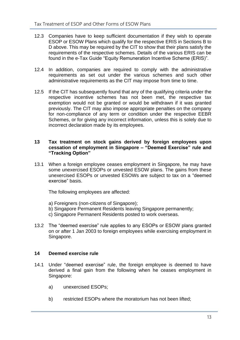- 12.3 Companies have to keep sufficient documentation if they wish to operate ESOP or ESOW Plans which qualify for the respective ERIS in Sections B to D above. This may be required by the CIT to show that their plans satisfy the requirements of the respective schemes. Details of the various ERIS can be found in the e-Tax Guide "Equity Remuneration Incentive Scheme (ERIS)".
- 12.4 In addition, companies are required to comply with the administrative requirements as set out under the various schemes and such other administrative requirements as the CIT may impose from time to time.
- 12.5 If the CIT has subsequently found that any of the qualifying criteria under the respective incentive schemes has not been met, the respective tax exemption would not be granted or would be withdrawn if it was granted previously. The CIT may also impose appropriate penalties on the company for non-compliance of any term or condition under the respective EEBR Schemes, or for giving any incorrect information, unless this is solely due to incorrect declaration made by its employees.

#### <span id="page-16-0"></span>**13 Tax treatment on stock gains derived by foreign employees upon cessation of employment in Singapore – "Deemed Exercise" rule and "Tracking Option"**

13.1 When a foreign employee ceases employment in Singapore, he may have some unexercised ESOPs or unvested ESOW plans. The gains from these unexercised ESOPs or unvested ESOWs are subject to tax on a "deemed exercise" basis.

The following employees are affected:

- a) Foreigners (non-citizens of Singapore);
- b) Singapore Permanent Residents leaving Singapore permanently;
- c) Singapore Permanent Residents posted to work overseas.
- 13.2 The "deemed exercise" rule applies to any ESOPs or ESOW plans granted on or after 1 Jan 2003 to foreign employees while exercising employment in Singapore.

# <span id="page-16-1"></span>**14 Deemed exercise rule**

- 14.1 Under "deemed exercise" rule, the foreign employee is deemed to have derived a final gain from the following when he ceases employment in Singapore:
	- a) unexercised ESOPs;
	- b) restricted ESOPs where the moratorium has not been lifted;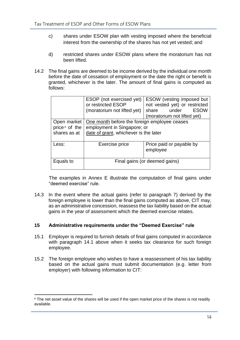- c) shares under ESOW plan with vesting imposed where the beneficial interest from the ownership of the shares has not yet vested; and
- d) restricted shares under ESOW plans where the moratorium has not been lifted.
- 14.2 The final gains are deemed to be income derived by the individual one month before the date of cessation of employment or the date the right or benefit is granted, whichever is the later. The amount of final gains is computed as follows:

|                | ESOP (not exercised yet)<br>or restricted ESOP | <b>ESOW</b> (vesting imposed but<br>not vested yet) or restricted |  |
|----------------|------------------------------------------------|-------------------------------------------------------------------|--|
|                | (moratorium not lifted yet)                    | ESOW<br>share under                                               |  |
|                |                                                | (moratorium not lifted yet)                                       |  |
| Open market    | One month before the foreign employee ceases   |                                                                   |  |
| price 8 of the | employment in Singapore; or                    |                                                                   |  |
| shares as at   | date of grant, whichever is the later          |                                                                   |  |
|                |                                                |                                                                   |  |
| Less:          | Exercise price                                 | Price paid or payable by<br>employee                              |  |
| Equals to      |                                                | Final gains (or deemed gains)                                     |  |
|                |                                                |                                                                   |  |

The examples in Annex E illustrate the computation of final gains under "deemed exercise" rule.

14.3 In the event where the actual gains (refer to paragraph 7) derived by the foreign employee is lower than the final gains computed as above, CIT may, as an administrative concession, reassess the tax liability based on the actual gains in the year of assessment which the deemed exercise relates.

#### <span id="page-17-0"></span>**15 Administrative requirements under the "Deemed Exercise" rule**

- 15.1 Employer is required to furnish details of final gains computed in accordance with paragraph 14.1 above when it seeks tax clearance for such foreign employee.
- 15.2 The foreign employee who wishes to have a reassessment of his tax liability based on the actual gains must submit documentation (e.g. letter from employer) with following information to CIT:

<sup>&</sup>lt;sup>8</sup> The net asset value of the shares will be used if the open market price of the shares is not readily available.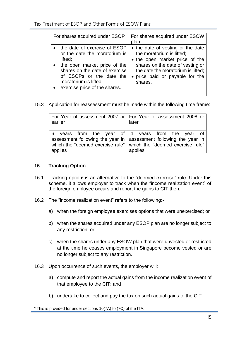| For shares acquired under ESOP                                                                                                                                                                                                   | For shares acquired under ESOW<br>plan                                                                                                                                                                                 |
|----------------------------------------------------------------------------------------------------------------------------------------------------------------------------------------------------------------------------------|------------------------------------------------------------------------------------------------------------------------------------------------------------------------------------------------------------------------|
| the date of exercise of ESOP<br>or the date the moratorium is<br>lifted;<br>the open market price of the<br>shares on the date of exercise<br>of ESOPs or the date the<br>moratorium is lifted;<br>exercise price of the shares. | • the date of vesting or the date<br>the moratorium is lifted;<br>• the open market price of the<br>shares on the date of vesting or<br>the date the moratorium is lifted;<br>price paid or payable for the<br>shares. |

15.3 Application for reassessment must be made within the following time frame:

| earlier | For Year of assessment 2007 or   For Year of assessment 2008 or  <br>later                                                                                                                                 |  |  |
|---------|------------------------------------------------------------------------------------------------------------------------------------------------------------------------------------------------------------|--|--|
| applies | 6 years from the year of 4 years from the year of<br>assessment following the year in   assessment following the year in  <br>which the "deemed exercise rule" which the "deemed exercise rule"<br>applies |  |  |

# <span id="page-18-0"></span>**16 Tracking Option**

- 16.1 Tracking option<sup>9</sup> is an alternative to the "deemed exercise" rule. Under this scheme, it allows employer to track when the "income realization event" of the foreign employee occurs and report the gains to CIT then.
- 16.2 The "income realization event" refers to the following:
	- a) when the foreign employee exercises options that were unexercised; or
	- b) when the shares acquired under any ESOP plan are no longer subject to any restriction; or
	- c) when the shares under any ESOW plan that were unvested or restricted at the time he ceases employment in Singapore become vested or are no longer subject to any restriction.
- 16.3 Upon occurrence of such events, the employer will:
	- a) compute and report the actual gains from the income realization event of that employee to the CIT; and
	- b) undertake to collect and pay the tax on such actual gains to the CIT.

<sup>&</sup>lt;sup>9</sup> This is provided for under sections 10(7A) to (7C) of the ITA.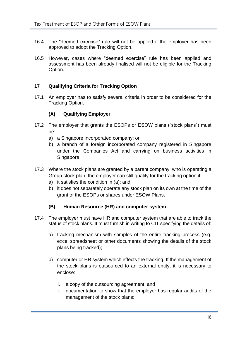- 16.4 The "deemed exercise" rule will not be applied if the employer has been approved to adopt the Tracking Option.
- 16.5 However, cases where "deemed exercise" rule has been applied and assessment has been already finalised will not be eligible for the Tracking Option.

# <span id="page-19-0"></span>**17 Qualifying Criteria for Tracking Option**

17.1 An employer has to satisfy several criteria in order to be considered for the Tracking Option.

#### **(A) Qualifying Employer**

- 17.2 The employer that grants the ESOPs or ESOW plans ("stock plans") must be:
	- a) a Singapore incorporated company; or
	- b) a branch of a foreign incorporated company registered in Singapore under the Companies Act and carrying on business activities in Singapore.
- 17.3 Where the stock plans are granted by a parent company, who is operating a Group stock plan, the employer can still qualify for the tracking option if:
	- a) it satisfies the condition in (a); and
	- b) it does not separately operate any stock plan on its own at the time of the grant of the ESOPs or shares under ESOW Plans.

#### **(B) Human Resource (HR) and computer system**

- 17.4 The employer must have HR and computer system that are able to track the status of stock plans. It must furnish in writing to CIT specifying the details of:
	- a) tracking mechanism with samples of the entire tracking process (e.g. excel spreadsheet or other documents showing the details of the stock plans being tracked);
	- b) computer or HR system which effects the tracking. If the management of the stock plans is outsourced to an external entity, it is necessary to enclose:
		- i. a copy of the outsourcing agreement; and
		- ii. documentation to show that the employer has regular audits of the management of the stock plans;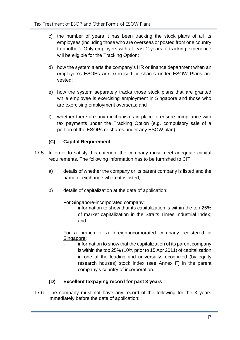- c) the number of years it has been tracking the stock plans of all its employees (including those who are overseas or posted from one country to another). Only employers with at least 2 years of tracking experience will be eligible for the Tracking Option;
- d) how the system alerts the company's HR or finance department when an employee's ESOPs are exercised or shares under ESOW Plans are vested;
- e) how the system separately tracks those stock plans that are granted while employee is exercising employment in Singapore and those who are exercising employment overseas; and
- f) whether there are any mechanisms in place to ensure compliance with tax payments under the Tracking Option (e.g. compulsory sale of a portion of the ESOPs or shares under any ESOW plan);

# **(C) Capital Requirement**

- 17.5 In order to satisfy this criterion, the company must meet adequate capital requirements. The following information has to be furnished to CIT:
	- a) details of whether the company or its parent company is listed and the name of exchange where it is listed;
	- b) details of capitalization at the date of application:

# For Singapore-incorporated company:

information to show that its capitalization is within the top 25% of market capitalization in the Straits Times Industrial Index; and

For a branch of a foreign-incorporated company registered in Singapore:

information to show that the capitalization of its parent company is within the top 25% (10% prior to 15 Apr 2011) of capitalization in one of the leading and universally recognized (by equity research houses) stock index (see Annex F) in the parent company's country of incorporation.

# **(D) Excellent taxpaying record for past 3 years**

17.6 The company must not have any record of the following for the 3 years immediately before the date of application: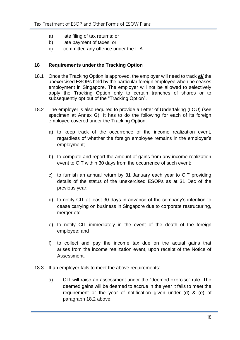- a) late filing of tax returns; or
- b) late payment of taxes; or
- c) committed any offence under the ITA.

# <span id="page-21-0"></span>**18 Requirements under the Tracking Option**

- 18.1 Once the Tracking Option is approved, the employer will need to track *all* the unexercised ESOPs held by the particular foreign employee when he ceases employment in Singapore. The employer will not be allowed to selectively apply the Tracking Option only to certain tranches of shares or to subsequently opt out of the "Tracking Option".
- 18.2 The employer is also required to provide a Letter of Undertaking (LOU) (see specimen at Annex G). It has to do the following for each of its foreign employee covered under the Tracking Option:
	- a) to keep track of the occurrence of the income realization event, regardless of whether the foreign employee remains in the employer's employment;
	- b) to compute and report the amount of gains from any income realization event to CIT within 30 days from the occurrence of such event;
	- c) to furnish an annual return by 31 January each year to CIT providing details of the status of the unexercised ESOPs as at 31 Dec of the previous year;
	- d) to notify CIT at least 30 days in advance of the company's intention to cease carrying on business in Singapore due to corporate restructuring, merger etc;
	- e) to notify CIT immediately in the event of the death of the foreign employee; and
	- f) to collect and pay the income tax due on the actual gains that arises from the income realization event, upon receipt of the Notice of Assessment.
- 18.3 If an employer fails to meet the above requirements:
	- a) CIT will raise an assessment under the "deemed exercise" rule. The deemed gains will be deemed to accrue in the year it fails to meet the requirement or the year of notification given under (d) & (e) of paragraph 18.2 above;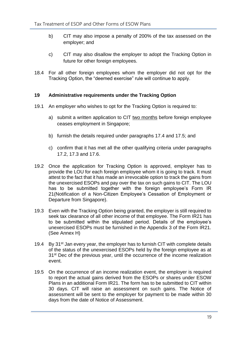- b) CIT may also impose a penalty of 200% of the tax assessed on the employer; and
- c) CIT may also disallow the employer to adopt the Tracking Option in future for other foreign employees.
- 18.4 For all other foreign employees whom the employer did not opt for the Tracking Option, the "deemed exercise" rule will continue to apply.

# <span id="page-22-0"></span>**19 Administrative requirements under the Tracking Option**

- 19.1 An employer who wishes to opt for the Tracking Option is required to:
	- a) submit a written application to CIT two months before foreign employee ceases employment in Singapore;
	- b) furnish the details required under paragraphs 17.4 and 17.5; and
	- c) confirm that it has met all the other qualifying criteria under paragraphs 17.2, 17.3 and 17.6.
- 19.2 Once the application for Tracking Option is approved, employer has to provide the LOU for each foreign employee whom it is going to track. It must attest to the fact that it has made an irrevocable option to track the gains from the unexercised ESOPs and pay over the tax on such gains to CIT. The LOU has to be submitted together with the foreign employee's Form IR 21(Notification of a Non-Citizen Employee's Cessation of Employment or Departure from Singapore).
- 19.3 Even with the Tracking Option being granted, the employer is still required to seek tax clearance of all other income of that employee. The Form IR21 has to be submitted within the stipulated period. Details of the employee's unexercised ESOPs must be furnished in the Appendix 3 of the Form IR21. (See Annex H)
- 19.4 By 31<sup>st</sup> Jan every year, the employer has to furnish CIT with complete details of the status of the unexercised ESOPs held by the foreign employee as at 31<sup>st</sup> Dec of the previous year, until the occurrence of the income realization event.
- 19.5 On the occurrence of an income realization event, the employer is required to report the actual gains derived from the ESOPs or shares under ESOW Plans in an additional Form IR21. The form has to be submitted to CIT within 30 days. CIT will raise an assessment on such gains. The Notice of assessment will be sent to the employer for payment to be made within 30 days from the date of Notice of Assessment.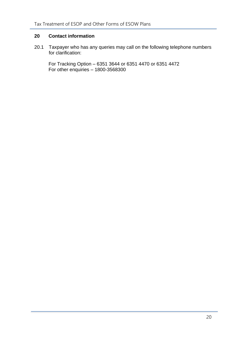# <span id="page-23-0"></span>**20 Contact information**

20.1 Taxpayer who has any queries may call on the following telephone numbers for clarification:

For Tracking Option – 6351 3644 or 6351 4470 or 6351 4472 For other enquiries – 1800-3568300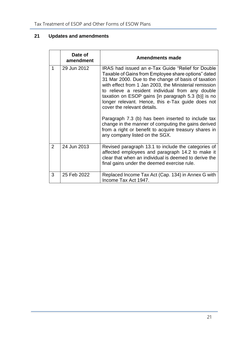# **21 Updates and amendments**

|                | Date of<br>amendment | <b>Amendments made</b>                                                                                                                                                                                                                                                                                                                                                                                                                                                                                                                                                                                                           |
|----------------|----------------------|----------------------------------------------------------------------------------------------------------------------------------------------------------------------------------------------------------------------------------------------------------------------------------------------------------------------------------------------------------------------------------------------------------------------------------------------------------------------------------------------------------------------------------------------------------------------------------------------------------------------------------|
| 1              | 29 Jun 2012          | IRAS had issued an e-Tax Guide "Relief for Double<br>Taxable of Gains from Employee share options" dated<br>31 Mar 2000. Due to the change of basis of taxation<br>with effect from 1 Jan 2003, the Ministerial remission<br>to relieve a resident individual from any double<br>taxation on ESOP gains (in paragraph 5.3 (b)) is no<br>longer relevant. Hence, this e-Tax guide does not<br>cover the relevant details.<br>Paragraph 7.3 (b) has been inserted to include tax<br>change in the manner of computing the gains derived<br>from a right or benefit to acquire treasury shares in<br>any company listed on the SGX. |
| $\overline{2}$ | 24 Jun 2013          | Revised paragraph 13.1 to include the categories of<br>affected employees and paragraph 14.2 to make it<br>clear that when an individual is deemed to derive the<br>final gains under the deemed exercise rule.                                                                                                                                                                                                                                                                                                                                                                                                                  |
| 3              | 25 Feb 2022          | Replaced Income Tax Act (Cap. 134) in Annex G with<br>Income Tax Act 1947.                                                                                                                                                                                                                                                                                                                                                                                                                                                                                                                                                       |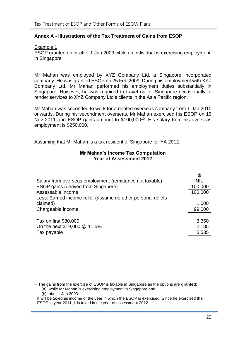# <span id="page-25-0"></span>**Annex A - Illustrations of the Tax Treatment of Gains from ESOP**

Example 1

ESOP granted on or after 1 Jan 2003 while an individual is exercising employment in Singapore

Mr Mahan was employed by XYZ Company Ltd, a Singapore incorporated company. He was granted ESOP on 25 Feb 2009. During his employment with XYZ Company Ltd, Mr Mahan performed his employment duties substantially in Singapore. However, he was required to travel out of Singapore occasionally to render services to XYZ Company Ltd's clients in the Asia Pacific region.

Mr Mahan was seconded to work for a related overseas company from 1 Jan 2010 onwards. During his secondment overseas, Mr Mahan exercised his ESOP on 15 Nov 2011 and ESOP gains amount to \$100,000<sup>10</sup>. His salary from his overseas employment is \$250,000.

Assuming that Mr Mahan is a tax resident of Singapore for YA 2012.

#### **Mr Mahan's Income Tax Computation Year of Assessment 2012**

|                                                              | \$         |
|--------------------------------------------------------------|------------|
| Salary from overseas employment (remittance not taxable)     | <b>NIL</b> |
| ESOP gains (derived from Singapore)                          | 100,000    |
| Assessable income                                            | 100,000    |
| Less: Earned income relief (assume no other personal reliefs |            |
| claimed)                                                     | 1,000      |
| Chargeable income                                            | 99,000     |
|                                                              |            |
| Tax on first \$80,000                                        | 3,350      |
| On the next \$19,000 @ 11.5%                                 | 2,185      |
| Tax payable                                                  | 5,535      |

<sup>10</sup> The gains from the exercise of ESOP is taxable in Singapore as the options are **granted**:

<sup>(</sup>a) while Mr Mahan is exercising employment in Singapore and

<sup>(</sup>b) after 1 Jan 2003.

It will be taxed as income of the year in which the ESOP is exercised. Since he exercised the ESOP in year 2011, it is taxed in the year of assessment 2012.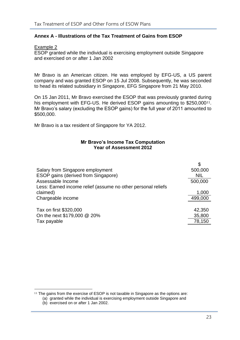# **Annex A - Illustrations of the Tax Treatment of Gains from ESOP**

Example 2

ESOP granted while the individual is exercising employment outside Singapore and exercised on or after 1 Jan 2002

Mr Bravo is an American citizen. He was employed by EFG-US, a US parent company and was granted ESOP on 15 Jul 2008. Subsequently, he was seconded to head its related subsidiary in Singapore, EFG Singapore from 21 May 2010.

On 15 Jan 2011, Mr Bravo exercised the ESOP that was previously granted during his employment with EFG-US. He derived ESOP gains amounting to \$250,000<sup>11</sup>. Mr Bravo's salary (excluding the ESOP gains) for the full year of 2011 amounted to \$500,000.

Mr Bravo is a tax resident of Singapore for YA 2012.

#### **Mr Bravo's Income Tax Computation Year of Assessment 2012**

|                                                              | \$         |
|--------------------------------------------------------------|------------|
| Salary from Singapore employment                             | 500,000    |
| ESOP gains (derived from Singapore)                          | <b>NIL</b> |
| Assessable Income                                            | 500,000    |
| Less: Earned income relief (assume no other personal reliefs |            |
| claimed)                                                     | 1,000      |
| Chargeable income                                            | 499,000    |
|                                                              |            |
| Tax on first \$320,000                                       | 42,350     |
| On the next \$179,000 @ 20%                                  | 35,800     |
| Tax payable                                                  | 78,150     |

<sup>&</sup>lt;sup>11</sup> The gains from the exercise of ESOP is not taxable in Singapore as the options are:

<sup>(</sup>a) granted while the individual is exercising employment outside Singapore and

<sup>(</sup>b) exercised on or after 1 Jan 2002.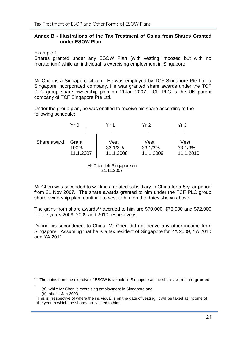# <span id="page-27-0"></span>**Annex B - Illustrations of the Tax Treatment of Gains from Shares Granted under ESOW Plan**

Example 1

Shares granted under any ESOW Plan (with vesting imposed but with no moratorium) while an individual is exercising employment in Singapore

Mr Chen is a Singapore citizen. He was employed by TCF Singapore Pte Ltd, a Singapore incorporated company. He was granted share awards under the TCF PLC group share ownership plan on 11Jan 2007. TCF PLC is the UK parent company of TCF Singapore Pte Ltd.

Under the group plan, he was entitled to receive his share according to the following schedule:

|             | Yr 0      | Yr 1      | Yr 2      | Yr 3      |
|-------------|-----------|-----------|-----------|-----------|
| Share award | Grant     | Vest      | Vest      | Vest      |
|             | 100%      | 33 1/3%   | 33 1/3%   | 33 1/3%   |
|             | 11.1.2007 | 11.1.2008 | 11.1.2009 | 11.1.2010 |

Mr Chen left Singapore on 21.11.2007

Mr Chen was seconded to work in a related subsidiary in China for a 5-year period from 21 Nov 2007. The share awards granted to him under the TCF PLC group share ownership plan, continue to vest to him on the dates shown above.

The gains from share awards<sup>12</sup> accrued to him are \$70,000, \$75,000 and \$72,000 for the years 2008, 2009 and 2010 respectively.

During his secondment to China, Mr Chen did not derive any other income from Singapore. Assuming that he is a tax resident of Singapore for YA 2009, YA 2010 and YA 2011.

<sup>12</sup> The gains from the exercise of ESOW is taxable in Singapore as the share awards are **granted** :

<sup>(</sup>a) while Mr Chen is exercising employment in Singapore and

<sup>(</sup>b) after 1 Jan 2003.

This is irrespective of where the individual is on the date of vesting. It will be taxed as income of the year in which the shares are vested to him.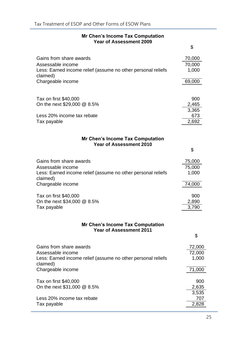|  |  | <b>Mr Chen's Income Tax Computation</b> |  |
|--|--|-----------------------------------------|--|
|  |  | <b>Year of Assessment 2009</b>          |  |

|                                                                                                                          | \$                        |
|--------------------------------------------------------------------------------------------------------------------------|---------------------------|
| Gains from share awards<br>Assessable income<br>Less: Earned income relief (assume no other personal reliefs<br>claimed) | 70,000<br>70,000<br>1,000 |
| Chargeable income                                                                                                        | 69,000                    |
| Tax on first \$40,000<br>On the next \$29,000 @ 8.5%                                                                     | 900<br>2,465              |
| Less 20% income tax rebate<br>Tax payable                                                                                | 3,365<br>673<br>2,692     |
| <b>Mr Chen's Income Tax Computation</b><br><b>Year of Assessment 2010</b>                                                |                           |
|                                                                                                                          | \$                        |
| Gains from share awards<br>Assessable income<br>Less: Earned income relief (assume no other personal reliefs             | 75,000<br>75,000<br>1,000 |
| claimed)<br>Chargeable income                                                                                            | 74,000                    |
| Tax on first \$40,000<br>On the next \$34,000 @ 8.5%                                                                     | 900<br>2,890              |
| Tax payable                                                                                                              | 3,790                     |
| <b>Mr Chen's Income Tax Computation</b><br><b>Year of Assessment 2011</b>                                                |                           |
|                                                                                                                          | \$                        |
| Gains from share awards<br>Assessable income                                                                             | 72,000<br>72,000          |
| Less: Earned income relief (assume no other personal reliefs<br>claimed)                                                 | 1,000                     |
| Chargeable income                                                                                                        | 71,000                    |
| Tax on first \$40,000<br>On the next $$31,000 \ @ 8.5\%$                                                                 | 900<br>2,635              |
| Less 20% income tax rebate                                                                                               | 3,535<br>707              |
| Tax payable                                                                                                              | 2,828                     |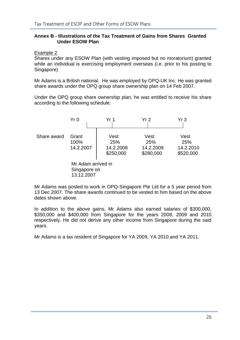# **Annex B - Illustrations of the Tax Treatment of Gains from Shares Granted Under ESOW Plan**

Example 2

Shares under any ESOW Plan (with vesting imposed but no moratorium) granted while an individual is exercising employment overseas (i.e. prior to his posting to Singapore)

Mr Adams is a British national. He was employed by OPQ-UK Inc. He was granted share awards under the OPQ group share ownership plan on 14 Feb 2007.

Under the OPQ group share ownership plan, he was entitled to receive his share according to the following schedule:

|             | Yr0                                              | Yr 1                                  | Yr <sub>2</sub>                       | Yr3                                   |
|-------------|--------------------------------------------------|---------------------------------------|---------------------------------------|---------------------------------------|
| Share award | Grant<br>100%<br>14.2.2007                       | Vest<br>25%<br>14.2.2008<br>\$250,000 | Vest<br>25%<br>14.2.2009<br>\$280,000 | Vest<br>25%<br>14.2.2010<br>\$520,000 |
|             | Mr Adam arrived in<br>Singapore on<br>13.12.2007 |                                       |                                       |                                       |

Mr Adams was posted to work in OPQ-Singapore Pte Ltd for a 5 year period from 13 Dec 2007. The share awards continued to be vested to him based on the above dates shown above.

In addition to the above gains, Mr Adams also earned salaries of \$300,000, \$350,000 and \$400,000 from Singapore for the years 2008, 2009 and 2010 respectively. He did not derive any other income from Singapore during the said years.

Mr Adams is a tax resident of Singapore for YA 2009, YA 2010 and YA 2011.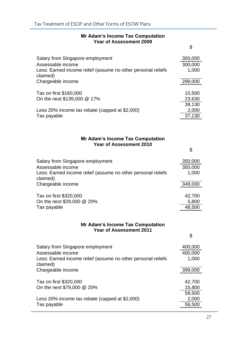#### **Mr Adam's Income Tax Computation Year of Assessment 2009**

\$

| Salary from Singapore employment                                         | 300,000 |
|--------------------------------------------------------------------------|---------|
| Assessable income                                                        | 300,000 |
| Less: Earned income relief (assume no other personal reliefs<br>claimed) | 1,000   |
| Chargeable income                                                        | 299,000 |
| Tax on first \$160,000                                                   | 15,500  |
| On the next \$139,000 @ 17%                                              | 23,630  |
|                                                                          | 39,130  |
| Less 20% income tax rebate (capped at \$2,000)                           | 2,000   |
| Tax payable                                                              | 37,130  |

# **Mr Adam's Income Tax Computation Year of Assessment 2010**

|                                                                          | \$      |
|--------------------------------------------------------------------------|---------|
| Salary from Singapore employment                                         | 350,000 |
| Assessable income                                                        | 350,000 |
| Less: Earned income relief (assume no other personal reliefs<br>claimed) | 1,000   |
| Chargeable income                                                        | 349,000 |
|                                                                          |         |
| Tax on first \$320,000                                                   | 42,700  |
| On the next \$29,000 @ 20%                                               | 5,800   |
| Tax payable                                                              | 48,500  |

# **Mr Adam's Income Tax Computation Year of Assessment 2011**

| Salary from Singapore employment<br>Assessable income<br>Less: Earned income relief (assume no other personal reliefs<br>claimed) | 400,000<br>400,000<br>1,000 |
|-----------------------------------------------------------------------------------------------------------------------------------|-----------------------------|
| Chargeable income                                                                                                                 | 399,000                     |
| Tax on first \$320,000<br>On the next \$79,000 @ 20%                                                                              | 42,700<br>15,800            |
| Less 20% income tax rebate (capped at \$2,000)<br>Tax payable                                                                     | 58,500<br>2,000<br>56,500   |

\$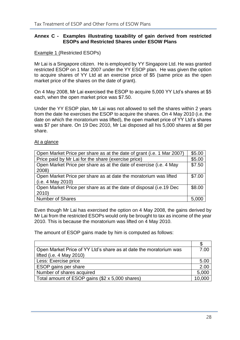# <span id="page-31-0"></span>**Annex C - Examples illustrating taxability of gain derived from restricted ESOPs and Restricted Shares under ESOW Plans**

#### Example 1 (Restricted ESOPs)

Mr Lai is a Singapore citizen. He is employed by YY Singapore Ltd. He was granted restricted ESOP on 1 Mar 2007 under the YY ESOP plan. He was given the option to acquire shares of YY Ltd at an exercise price of \$5 (same price as the open market price of the shares on the date of grant).

On 4 May 2008, Mr Lai exercised the ESOP to acquire 5,000 YY Ltd's shares at \$5 each, when the open market price was \$7.50.

Under the YY ESOP plan, Mr Lai was not allowed to sell the shares within 2 years from the date he exercises the ESOP to acquire the shares. On 4 May 2010 (i.e. the date on which the moratorium was lifted), the open market price of YY Ltd's shares was \$7 per share. On 19 Dec 2010, Mr Lai disposed all his 5,000 shares at \$8 per share.

#### At a glance

| Open Market Price per share as at the date of grant (i.e. 1 Mar 2007) | \$5.00 |
|-----------------------------------------------------------------------|--------|
| Price paid by Mr Lai for the share (exercise price)                   | \$5.00 |
| Open Market Price per share as at the date of exercise (i.e. 4 May    | \$7.50 |
| 2008)                                                                 |        |
| Open Market Price per share as at date the moratorium was lifted      | \$7.00 |
| (i.e. 4 May 2010)                                                     |        |
| Open Market Price per share as at the date of disposal (i.e.19 Dec    | \$8.00 |
| 2010                                                                  |        |
| <b>Number of Shares</b>                                               | 5.000  |

Even though Mr Lai has exercised the option on 4 May 2008, the gains derived by Mr Lai from the restricted ESOPs would only be brought to tax as income of the year 2010. This is because the moratorium was lifted on 4 May 2010.

The amount of ESOP gains made by him is computed as follows:

| Open Market Price of YY Ltd's share as at date the moratorium was | 7.00   |
|-------------------------------------------------------------------|--------|
| lifted (i.e. 4 May 2010)                                          |        |
| Less: Exercise price                                              | 5.00   |
| ESOP gains per share                                              | 2.00   |
| Number of shares acquired                                         | 5,000  |
| Total amount of ESOP gains (\$2 x 5,000 shares)                   | 10,000 |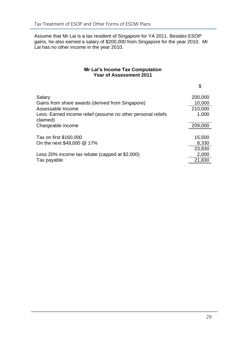Assume that Mr Lai is a tax resident of Singapore for YA 2011. Besides ESOP gains, he also earned a salary of \$200,000 from Singapore for the year 2010. Mr Lai has no other income in the year 2010.

# **Mr Lai's Income Tax Computation Year of Assessment 2011**

|                                                                          | \$      |
|--------------------------------------------------------------------------|---------|
| Salary                                                                   | 200,000 |
| Gains from share awards (derived from Singapore)                         | 10,000  |
| Assessable Income                                                        | 210,000 |
| Less: Earned income relief (assume no other personal reliefs<br>claimed) | 1,000   |
| Chargeable income                                                        | 209,000 |
| Tax on first \$160,000                                                   | 15,500  |
| On the next \$49,000 @ 17%                                               | 8,330   |
|                                                                          | 23,830  |
| Less 20% income tax rebate (capped at \$2,000)                           | 2,000   |
| Tax payable                                                              | 21,830  |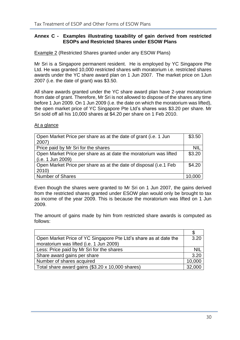#### **Annex C - Examples illustrating taxability of gain derived from restricted ESOPs and Restricted Shares under ESOW Plans**

Example 2 (Restricted Shares granted under any ESOW Plans)

Mr Sri is a Singapore permanent resident. He is employed by YC Singapore Pte Ltd. He was granted 10,000 restricted shares with moratorium i.e. restricted shares awards under the YC share award plan on 1 Jun 2007. The market price on 1Jun 2007 (i.e. the date of grant) was \$3.50.

All share awards granted under the YC share award plan have 2-year moratorium from date of grant. Therefore, Mr Sri is not allowed to dispose of the shares any time before 1 Jun 2009. On 1 Jun 2009 (i.e. the date on which the moratorium was lifted), the open market price of YC Singapore Pte Ltd's shares was \$3.20 per share. Mr Sri sold off all his 10,000 shares at \$4.20 per share on 1 Feb 2010.

At a glance

| Open Market Price per share as at the date of grant (i.e. 1 Jun<br>2007) | \$3.50     |
|--------------------------------------------------------------------------|------------|
| Price paid by Mr Sri for the shares                                      | <b>NIL</b> |
| Open Market Price per share as at date the moratorium was lifted         | \$3.20     |
| (i.e. 1 Jun 2009)                                                        |            |
| Open Market Price per share as at the date of disposal (i.e.1 Feb        | \$4.20     |
| $ 2010\rangle$                                                           |            |
| Number of Shares                                                         | 10.000     |

Even though the shares were granted to Mr Sri on 1 Jun 2007, the gains derived from the restricted shares granted under ESOW plan would only be brought to tax as income of the year 2009. This is because the moratorium was lifted on 1 Jun 2009.

The amount of gains made by him from restricted share awards is computed as follows:

| Open Market Price of YC Singapore Pte Ltd's share as at date the | 3.20       |
|------------------------------------------------------------------|------------|
| moratorium was lifted (i.e. 1 Jun 2009)                          |            |
| Less: Price paid by Mr Sri for the shares                        | <b>NIL</b> |
| Share award gains per share                                      | 3.20       |
| Number of shares acquired                                        | 10,000     |
| Total share award gains (\$3.20 x 10,000 shares)                 | 32,000     |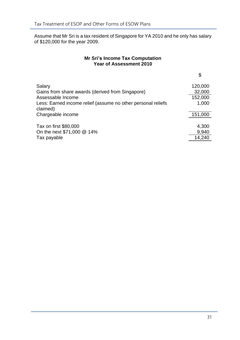Assume that Mr Sri is a tax resident of Singapore for YA 2010 and he only has salary of \$120,000 for the year 2009.

# **Mr Sri's Income Tax Computation Year of Assessment 2010**

|                                                                          | \$      |
|--------------------------------------------------------------------------|---------|
| Salary                                                                   | 120,000 |
| Gains from share awards (derived from Singapore)                         | 32,000  |
| Assessable Income                                                        | 152,000 |
| Less: Earned income relief (assume no other personal reliefs<br>claimed) | 1,000   |
| Chargeable income                                                        | 151,000 |
| Tax on first \$80,000                                                    | 4,300   |
| On the next \$71,000 @ 14%                                               | 9,940   |
| Tax payable                                                              | 14,240  |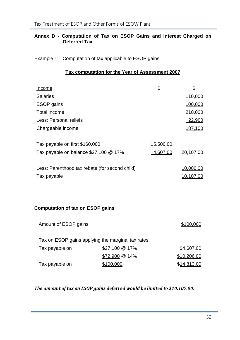# <span id="page-35-0"></span>**Annex D - Computation of Tax on ESOP Gains and Interest Charged on Deferred Tax**

# **Example 1:** Computation of tax applicable to ESOP gains

# **Tax computation for the Year of Assessment 2007**

| Income                                         | \$        | \$        |
|------------------------------------------------|-----------|-----------|
| <b>Salaries</b>                                |           | 110,000   |
| <b>ESOP</b> gains                              |           | 100,000   |
| Total income                                   |           | 210,000   |
| Less: Personal reliefs                         |           | 22,900    |
| Chargeable income                              |           | 187,100   |
| Tax payable on first \$160,000                 | 15,500.00 |           |
| Tax payable on balance $$27,100 \& 17\%$       | 4,607.00  | 20,107.00 |
| Less: Parenthood tax rebate (for second child) |           | 10,000.00 |
| Tax payable                                    |           | 10,107.00 |

# **Computation of tax on ESOP gains**

| Amount of ESOP gains |                                                    | \$100,000   |
|----------------------|----------------------------------------------------|-------------|
|                      | Tax on ESOP gains applying the marginal tax rates: |             |
| Tax payable on       | \$27,100 @ 17%                                     | \$4,607.00  |
|                      | \$72,900 @ 14%                                     | \$10,206.00 |
| Tax payable on       | \$100,000                                          | \$14,813.00 |

# *The amount of tax on ESOP gains deferred would be limited to \$10,107.00*.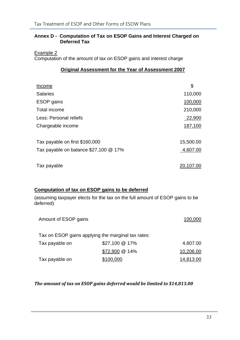# **Annex D - Computation of Tax on ESOP Gains and Interest Charged on Deferred Tax**

Example 2

Computation of the amount of tax on ESOP gains and interest charge

# **Original Assessment for the Year of Assessment 2007**

| Income                                   | \$        |
|------------------------------------------|-----------|
| <b>Salaries</b>                          | 110,000   |
| <b>ESOP</b> gains                        | 100,000   |
| Total income                             | 210,000   |
| Less: Personal reliefs                   | 22,900    |
| Chargeable income                        | 187,100   |
| Tax payable on first \$160,000           | 15,500.00 |
| Tax payable on balance $$27,100 \& 17\%$ | 4,607.00  |
| Tax payable                              | 20,107.00 |

# **Computation of tax on ESOP gains to be deferred**

(assuming taxpayer elects for the tax on the full amount of ESOP gains to be deferred)

| Amount of ESOP gains |                                                    | 100,000   |
|----------------------|----------------------------------------------------|-----------|
|                      | Tax on ESOP gains applying the marginal tax rates: |           |
| Tax payable on       | $$27,100 \& 17\%$                                  | 4,607.00  |
|                      | \$72,900 @ 14%                                     | 10,206.00 |
| Tax payable on       | \$100,000                                          | 14,813.00 |

#### *The amount of tax on ESOP gains deferred would be limited to \$14,813.00*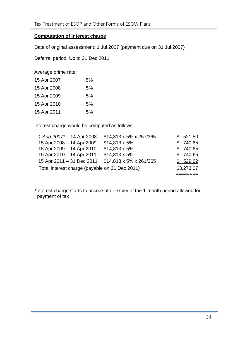# **Computation of interest charge**

Date of original assessment: 1 Jul 2007 (payment due on 31 Jul 2007)

Deferral period: Up to 31 Dec 2011

Average prime rate:

| 15 Apr 2007 | 5% |
|-------------|----|
| 15 Apr 2008 | 5% |
| 15 Apr 2009 | 5% |
| 15 Apr 2010 | 5% |
| 15 Apr 2011 | 5% |

Interest charge would be computed as follows:

| Total interest charge (payable on 31 Dec 2011) |                         | \$3,273.07 |
|------------------------------------------------|-------------------------|------------|
| 15 Apr 2011 - 31 Dec 2011                      | \$14,813 x 5% x 261/365 | \$529.62   |
| 15 Apr 2010 - 14 Apr 2011                      | $$14,813 \times 5\%$    | \$740.65   |
| 15 Apr 2009 - 14 Apr 2010                      | $$14,813 \times 5\%$    | \$740.65   |
| 15 Apr 2008 - 14 Apr 2009                      | $$14,813 \times 5\%$    | \$740.65   |
| 1 Aug 2007 <sup>*</sup> - 14 Apr 2008          | \$14,813 x 5% x 257/365 | \$521.50   |

*\**Interest charge starts to accrue after expiry of the 1-month period allowed for payment of tax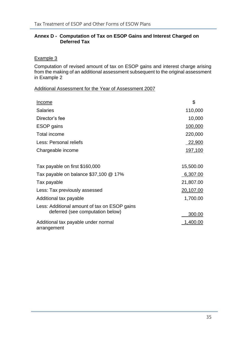# **Annex D - Computation of Tax on ESOP Gains and Interest Charged on Deferred Tax**

# Example 3

Computation of revised amount of tax on ESOP gains and interest charge arising from the making of an additional assessment subsequent to the original assessment in Example 2

# Additional Assessment for the Year of Assessment 2007

| <b>Income</b>                                                                    | \$             |
|----------------------------------------------------------------------------------|----------------|
| <b>Salaries</b>                                                                  | 110,000        |
| Director's fee                                                                   | 10,000         |
| <b>ESOP</b> gains                                                                | 100,000        |
| Total income                                                                     | 220,000        |
| Less: Personal reliefs                                                           | 22,900         |
| Chargeable income                                                                | <u>197,100</u> |
| Tax payable on first \$160,000                                                   | 15,500.00      |
| Tax payable on balance \$37,100 @ 17%                                            | 6,307.00       |
| Tax payable                                                                      | 21,807.00      |
| Less: Tax previously assessed                                                    | 20,107.00      |
| Additional tax payable                                                           | 1,700.00       |
| Less: Additional amount of tax on ESOP gains<br>deferred (see computation below) | 300.00         |
| Additional tax payable under normal<br>arrangement                               | 1,400.00       |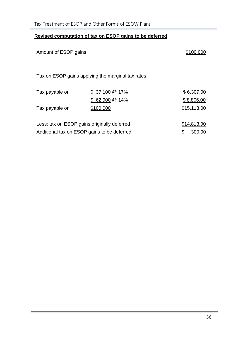# **Revised computation of tax on ESOP gains to be deferred**

| Amount of ESOP gains |                                                                                            | \$100,000                 |
|----------------------|--------------------------------------------------------------------------------------------|---------------------------|
|                      | Tax on ESOP gains applying the marginal tax rates:                                         |                           |
| Tax payable on       | $$37,100@17\%$                                                                             | \$6,307.00                |
| Tax payable on       | $$62,900@14\%$<br>\$100,000                                                                | \$8,806.00<br>\$15,113.00 |
|                      | Less: tax on ESOP gains originally deferred<br>Additional tax on ESOP gains to be deferred | \$14,813.00<br>300.00     |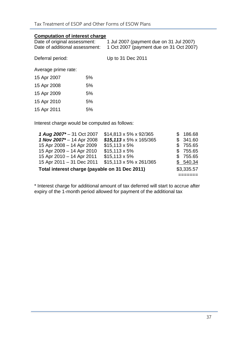# **Computation of interest charge**

| Date of original assessment:<br>Date of additional assessment: |    | 1 Jul 2007 (payment due on 31 Jul 2007)<br>1 Oct 2007 (payment due on 31 Oct 2007) |
|----------------------------------------------------------------|----|------------------------------------------------------------------------------------|
| Deferral period:                                               |    | Up to 31 Dec 2011                                                                  |
| Average prime rate:                                            |    |                                                                                    |
| 15 Apr 2007                                                    | 5% |                                                                                    |
| 15 Apr 2008                                                    | 5% |                                                                                    |
| 15 Apr 2009                                                    | 5% |                                                                                    |
| 15 Apr 2010                                                    | 5% |                                                                                    |
| 15 Apr 2011                                                    | 5% |                                                                                    |
|                                                                |    |                                                                                    |

Interest charge would be computed as follows:

| 1 Aug 2007 <sup>*</sup> - 31 Oct 2007          | \$14,813 x 5% x 92/365              | \$186.68 |
|------------------------------------------------|-------------------------------------|----------|
| 1 Nov 2007* - 14 Apr 2008                      | $$15,113 \times 5\% \times 165/365$ | \$341.60 |
| 15 Apr 2008 - 14 Apr 2009                      | $$15,113 \times 5\%$                | \$755.65 |
| 15 Apr 2009 - 14 Apr 2010                      | $$15,113 \times 5\%$                | \$755.65 |
| 15 Apr 2010 - 14 Apr 2011                      | $$15,113 \times 5\%$                | \$755.65 |
| 15 Apr 2011 - 31 Dec 2011                      | \$15,113 x 5% x 261/365             | \$540.34 |
| Total interest charge (payable on 31 Dec 2011) | \$3,335.57                          |          |
|                                                |                                     |          |

\* Interest charge for additional amount of tax deferred will start to accrue after expiry of the 1-month period allowed for payment of the additional tax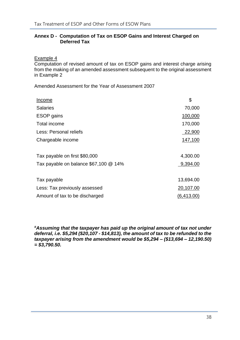# **Annex D - Computation of Tax on ESOP Gains and Interest Charged on Deferred Tax**

Example 4

Computation of revised amount of tax on ESOP gains and interest charge arising from the making of an amended assessment subsequent to the original assessment in Example 2

Amended Assessment for the Year of Assessment 2007

| Income                                | \$         |
|---------------------------------------|------------|
| <b>Salaries</b>                       | 70,000     |
| <b>ESOP</b> gains                     | 100,000    |
| Total income                          | 170,000    |
| Less: Personal reliefs                | 22,900     |
| Chargeable income                     | 147,100    |
| Tax payable on first \$80,000         | 4,300.00   |
| Tax payable on balance \$67,100 @ 14% | 9,394.00   |
| Tax payable                           | 13,694.00  |
| Less: Tax previously assessed         | 20,107.00  |
| Amount of tax to be discharged        | (6,413.00) |

*#Assuming that the taxpayer has paid up the original amount of tax not under deferral, i.e. \$5,294 (\$20,107 - \$14,813), the amount of tax to be refunded to the taxpayer arising from the amendment would be \$5,294 – (\$13,694 – 12,190.50) = \$3,790.50.*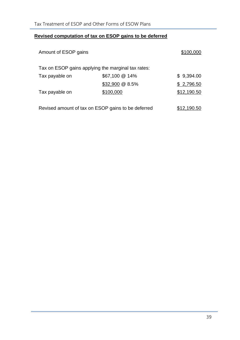# **Revised computation of tax on ESOP gains to be deferred**

| Amount of ESOP gains |                                                    | \$100,000   |
|----------------------|----------------------------------------------------|-------------|
|                      | Tax on ESOP gains applying the marginal tax rates: |             |
| Tax payable on       | \$67,100 @ 14%                                     | \$9,394.00  |
|                      | $$32,900 \ @ \ 8.5\%$                              | \$2,796.50  |
| Tax payable on       | \$100,000                                          | \$12,190.50 |
|                      | Revised amount of tax on ESOP gains to be deferred | \$12,190.50 |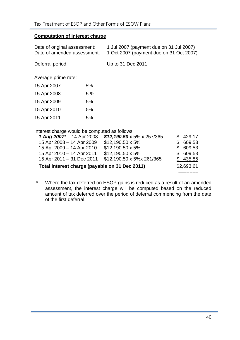# **Computation of interest charge**

| 1 Jul 2007 (payment due on 31 Jul 2007)<br>Date of original assessment:<br>1 Oct 2007 (payment due on 31 Oct 2007)<br>Date of amended assessment: |    |                                        |    |               |
|---------------------------------------------------------------------------------------------------------------------------------------------------|----|----------------------------------------|----|---------------|
| Deferral period:                                                                                                                                  |    | Up to 31 Dec 2011                      |    |               |
| Average prime rate:                                                                                                                               |    |                                        |    |               |
| 15 Apr 2007                                                                                                                                       | 5% |                                        |    |               |
| 15 Apr 2008                                                                                                                                       | 5% |                                        |    |               |
| 15 Apr 2009                                                                                                                                       | 5% |                                        |    |               |
| 15 Apr 2010                                                                                                                                       | 5% |                                        |    |               |
| 15 Apr 2011                                                                                                                                       | 5% |                                        |    |               |
| Interest charge would be computed as follows:                                                                                                     |    |                                        |    |               |
| 1 Aug 2007 <sup>*</sup> – 14 Apr 2008                                                                                                             |    | $$12,190.50 \times 5\% \times 257/365$ | \$ | 429.17        |
| 15 Apr 2008 - 14 Apr 2009                                                                                                                         |    | $$12,190.50 \times 5\%$                | \$ | 609.53        |
| 15 Apr 2009 – 14 Apr 2010                                                                                                                         |    | $$12,190.50 \times 5\%$                | \$ | 609.53        |
| 15 Apr 2010 – 14 Apr 2011                                                                                                                         |    | $$12,190.50 \times 5\%$                | \$ | 609.53        |
| 15 Apr 2011 - 31 Dec 2011                                                                                                                         |    | \$12,190.50 x 5%x 261/365              | \$ | <u>435.85</u> |
| Total interest charge (payable on 31 Dec 2011)                                                                                                    |    |                                        |    | \$2,693.61    |

\* Where the tax deferred on ESOP gains is reduced as a result of an amended assessment, the interest charge will be computed based on the reduced amount of tax deferred over the period of deferral commencing from the date of the first deferral.

=======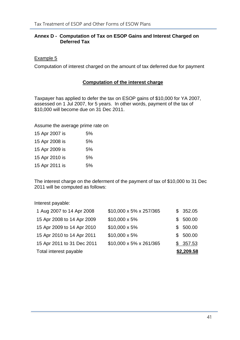# **Annex D - Computation of Tax on ESOP Gains and Interest Charged on Deferred Tax**

#### Example 5

Computation of interest charged on the amount of tax deferred due for payment

#### **Computation of the interest charge**

Taxpayer has applied to defer the tax on ESOP gains of \$10,000 for YA 2007, assessed on 1 Jul 2007, for 5 years. In other words, payment of the tax of \$10,000 will become due on 31 Dec 2011.

Assume the average prime rate on

| 15 Apr 2007 is | 5%  |
|----------------|-----|
| 15 Apr 2008 is | 5%  |
| 15 Apr 2009 is | .5% |
| 15 Apr 2010 is | 5%  |
| 15 Apr 2011 is | 5%  |

The interest charge on the deferment of the payment of tax of \$10,000 to 31 Dec 2011 will be computed as follows:

Interest payable:

| Total interest payable     |                         | \$2,209.58 |
|----------------------------|-------------------------|------------|
| 15 Apr 2011 to 31 Dec 2011 | \$10,000 x 5% x 261/365 | \$357.53   |
| 15 Apr 2010 to 14 Apr 2011 | $$10,000 \times 5\%$    | \$500.00   |
| 15 Apr 2009 to 14 Apr 2010 | \$10,000 x 5%           | \$500.00   |
| 15 Apr 2008 to 14 Apr 2009 | \$10,000 x 5%           | \$500.00   |
| 1 Aug 2007 to 14 Apr 2008  | \$10,000 x 5% x 257/365 | \$352.05   |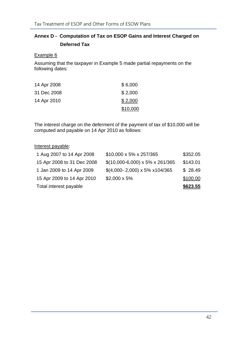# **Annex D - Computation of Tax on ESOP Gains and Interest Charged on Deferred Tax**

#### Example 6

Assuming that the taxpayer in Example 5 made partial repayments on the following dates:

| 14 Apr 2008 | \$6,000  |
|-------------|----------|
| 31 Dec 2008 | \$2,000  |
| 14 Apr 2010 | \$2,000  |
|             | \$10,000 |

The interest charge on the deferment of the payment of tax of \$10,000 will be computed and payable on 14 Apr 2010 as follows:

# Interest payable:

| Total interest payable     |                                               | \$623.55 |
|----------------------------|-----------------------------------------------|----------|
| 15 Apr 2009 to 14 Apr 2010 | $$2,000 \times 5\%$                           | \$100.00 |
| 1 Jan 2009 to 14 Apr 2009  | $$(4,000 - 2,000) \times 5\% \times 104/365)$ | \$28.49  |
| 15 Apr 2008 to 31 Dec 2008 | $$(10,000-6,000) \times 5\% \times 261/365)$  | \$143.01 |
| 1 Aug 2007 to 14 Apr 2008  | \$10,000 x 5% x 257/365                       | \$352.05 |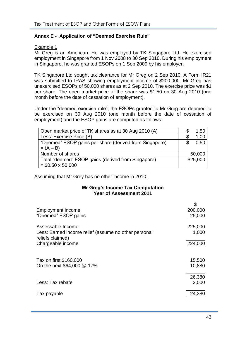# <span id="page-46-0"></span>**Annex E - Application of "Deemed Exercise Rule"**

#### Example 1

Mr Greg is an American. He was employed by TK Singapore Ltd. He exercised employment in Singapore from 1 Nov 2008 to 30 Sep 2010. During his employment in Singapore, he was granted ESOPs on 1 Sep 2009 by his employer.

TK Singapore Ltd sought tax clearance for Mr Greg on 2 Sep 2010. A Form IR21 was submitted to IRAS showing employment income of \$200,000. Mr Greg has unexercised ESOPs of 50,000 shares as at 2 Sep 2010. The exercise price was \$1 per share. The open market price of the share was \$1.50 on 30 Aug 2010 (one month before the date of cessation of employment).

Under the "deemed exercise rule", the ESOPs granted to Mr Greg are deemed to be exercised on 30 Aug 2010 (one month before the date of cessation of employment) and the ESOP gains are computed as follows:

| Open market price of TK shares as at 30 Aug 2010 (A)   | 1.50        |
|--------------------------------------------------------|-------------|
| Less: Exercise Price (B)                               | 1.00        |
| "Deemed" ESOP gains per share (derived from Singapore) | 0.50<br>\$. |
| $= (A - B)$                                            |             |
| Number of shares                                       | 50,000      |
| Total "deemed" ESOP gains (derived from Singapore)     | \$25,000    |
| $=$ \$0.50 x 50,000                                    |             |

Assuming that Mr Grey has no other income in 2010.

#### **Mr Greg's Income Tax Computation Year of Assessment 2011**

| <b>Employment income</b><br>"Deemed" ESOP gains                                               | \$<br>200,000<br>25,000 |
|-----------------------------------------------------------------------------------------------|-------------------------|
| Assessable Income<br>Less: Earned income relief (assume no other personal<br>reliefs claimed) | 225,000<br>1,000        |
| Chargeable income                                                                             | 224,000                 |
| Tax on first \$160,000<br>On the next \$64,000 @ 17%                                          | 15,500<br>10,880        |
| Less: Tax rebate                                                                              | 26,380<br>2,000         |
| Tax payable                                                                                   | 24,380                  |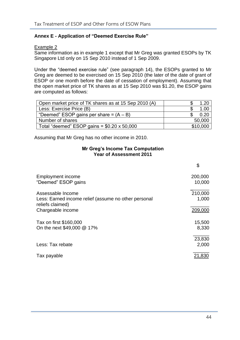# **Annex E - Application of "Deemed Exercise Rule"**

# Example 2

Same information as in example 1 except that Mr Greg was granted ESOPs by TK Singapore Ltd only on 15 Sep 2010 instead of 1 Sep 2009.

Under the "deemed exercise rule" (see paragraph 14), the ESOPs granted to Mr Greg are deemed to be exercised on 15 Sep 2010 (the later of the date of grant of ESOP or one month before the date of cessation of employment). Assuming that the open market price of TK shares as at 15 Sep 2010 was \$1.20, the ESOP gains are computed as follows:

| Open market price of TK shares as at 15 Sep 2010 (A) | 1.20     |
|------------------------------------------------------|----------|
| Less: Exercise Price (B)                             | 1.00     |
| "Deemed" ESOP gains per share = $(A - B)$            | 0.20     |
| Number of shares                                     | 50,000   |
| Total "deemed" ESOP gains = $$0.20 \times 50,000$    | \$10,000 |

Assuming that Mr Greg has no other income in 2010.

#### **Mr Greg's Income Tax Computation Year of Assessment 2011**

|                                                                                               | \$                |
|-----------------------------------------------------------------------------------------------|-------------------|
| Employment income<br>"Deemed" ESOP gains                                                      | 200,000<br>10,000 |
| Assessable Income<br>Less: Earned income relief (assume no other personal<br>reliefs claimed) | 210,000<br>1,000  |
| Chargeable income                                                                             | 209,000           |
| Tax on first \$160,000<br>On the next \$49,000 @ 17%                                          | 15,500<br>8,330   |
| Less: Tax rebate                                                                              | 23,830<br>2,000   |
| Tax payable                                                                                   | 21.830            |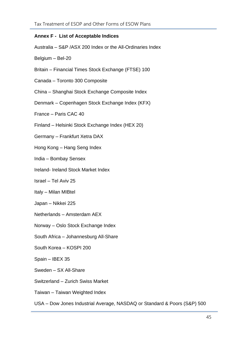# <span id="page-48-0"></span>**Annex F - List of Acceptable Indices**

Australia – S&P /ASX 200 Index or the All-Ordinaries Index

Belgium – Bel-20

- Britain Financial Times Stock Exchange (FTSE) 100
- Canada Toronto 300 Composite
- China Shanghai Stock Exchange Composite Index
- Denmark Copenhagen Stock Exchange Index (KFX)
- France Paris CAC 40
- Finland Helsinki Stock Exchange Index (HEX 20)
- Germany Frankfurt Xetra DAX
- Hong Kong Hang Seng Index
- India Bombay Sensex
- Ireland- Ireland Stock Market Index
- Israel Tel Aviv 25
- Italy Milan MIBtel
- Japan Nikkei 225
- Netherlands Amsterdam AEX
- Norway Oslo Stock Exchange Index
- South Africa Johannesburg All-Share
- South Korea KOSPI 200
- Spain IBEX 35
- Sweden SX All-Share
- Switzerland Zurich Swiss Market
- Taiwan Taiwan Weighted Index
- USA Dow Jones Industrial Average, NASDAQ or Standard & Poors (S&P) 500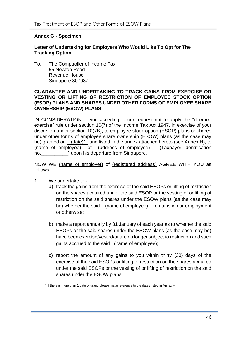#### <span id="page-49-0"></span>**Annex G - Specimen**

# **Letter of Undertaking for Employers Who Would Like To Opt for The Tracking Option**

To: The Comptroller of Income Tax 55 Newton Road Revenue House Singapore 307987

#### **GUARANTEE AND UNDERTAKING TO TRACK GAINS FROM EXERCISE OR VESTING OR LIFTING OF RESTRICTION OF EMPLOYEE STOCK OPTION (ESOP) PLANS AND SHARES UNDER OTHER FORMS OF EMPLOYEE SHARE OWNERSHIP (ESOW) PLANS**

IN CONSIDERATION of you acceding to our request not to apply the "deemed exercise" rule under section 10(7) of the Income Tax Act 1947, in exercise of your discretion under section 10(7B), to employee stock option (ESOP) plans or shares under other forms of employee share ownership (ESOW) plans (as the case may be) granted on (date)<sup>\*</sup>, and listed in the annex attached hereto (see Annex H), to (name of employee) of (address of employee) (Taxpayer identification no.  $\Box$ ) upon his departure from Singapore.

NOW WE (name of employer) of (registered address) AGREE WITH YOU as follows:

- 1 We undertake to
	- a) track the gains from the exercise of the said ESOPs or lifting of restriction on the shares acquired under the said ESOP or the vesting of or lifting of restriction on the said shares under the ESOW plans (as the case may be) whether the said (name of employee) remains in our employment or otherwise;
	- b) make a report annually by 31 January of each year as to whether the said ESOPs or the said shares under the ESOW plans (as the case may be) have been exercise/vested/or are no longer subject to restriction and such gains accrued to the said (name of employee);
	- c) report the amount of any gains to you within thirty (30) days of the exercise of the said ESOPs or lifting of restriction on the shares acquired under the said ESOPs or the vesting of or lifting of restriction on the said shares under the ESOW plans;

<sup>\*</sup> If there is more than 1 date of grant, please make reference to the dates listed in Annex H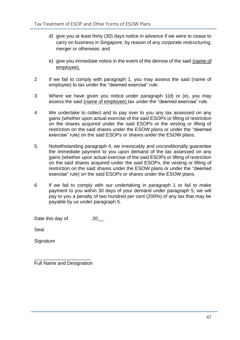- d) give you at least thirty (30) days notice in advance if we were to cease to carry on business in Singapore, by reason of any corporate restructuring, merger or otherwise; and
- e) give you immediate notice in the event of the demise of the said (name of employee).
- 2 If we fail to comply with paragraph 1, you may assess the said (name of employee) to tax under the "deemed exercise" rule.
- 3 Where we have given you notice under paragraph 1(d) or (e), you may assess the said (name of employee) tax under the "deemed exercise" rule.
- 4 We undertake to collect and to pay over to you any tax assessed on any gains (whether upon actual exercise of the said ESOPs or lifting of restriction on the shares acquired under the said ESOPs or the vesting or lifting of restriction on the said shares under the ESOW plans or under the "deemed exercise" rule) on the said ESOPs or shares under the ESOW plans.
- 5. Notwithstanding paragraph 4, we irrevocably and unconditionally guarantee the immediate payment to you upon demand of the tax assessed on any gains (whether upon actual exercise of the said ESOPs or lifting of restriction on the said shares acquired under the said ESOPs, the vesting or lifting of restriction on the said shares under the ESOW plans or under the "deemed exercise" rule) on the said ESOPs or shares under the ESOW plans.
- 6 If we fail to comply with our undertaking in paragraph 1 or fail to make payment to you within 30 days of your demand under paragraph 5, we will pay to you a penalty of two hundred per cent (200%) of any tax that may be payable by us under paragraph 5.

Date this day of 20\_\_.

Seal

**Signature** 

\_\_\_\_\_\_\_\_\_\_\_\_\_\_\_\_\_\_\_\_\_ Full Name and Designation